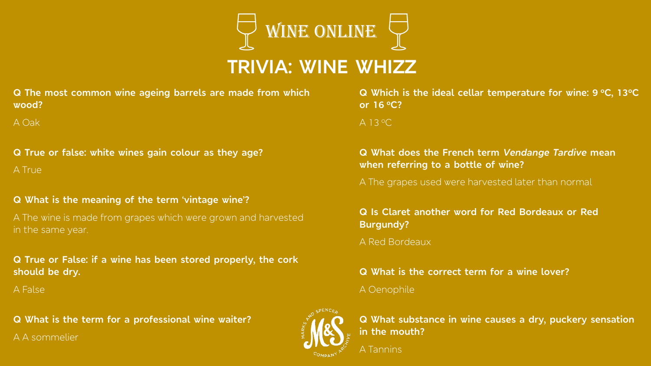

## **TRIVIA: WINE WHIZZ**

**Q The most common wine ageing barrels are made from which wood?**

A Oak

**Q True or false: white wines gain colour as they age?** A True

**Q What is the meaning of the term 'vintage wine'?**

A The wine is made from grapes which were grown and harvested in the same year.

**Q True or False: if a wine has been stored properly, the cork should be dry.**

A False

**Q What is the term for a professional wine waiter?** A A sommelier

**Q Which is the ideal cellar temperature for wine: 9 <sup>o</sup>C, 13<sup>o</sup>C or 16 <sup>o</sup>C?**

A 13 <sup>o</sup>C

**Q What does the French term** *Vendange Tardive* **mean when referring to a bottle of wine?**

A The grapes used were harvested later than normal

**Q Is Claret another word for Red Bordeaux or Red Burgundy?**

A Red Bordeaux

**Q What is the correct term for a wine lover?** A Oenophile



**Q What substance in wine causes a dry, puckery sensation in the mouth?**

A Tannins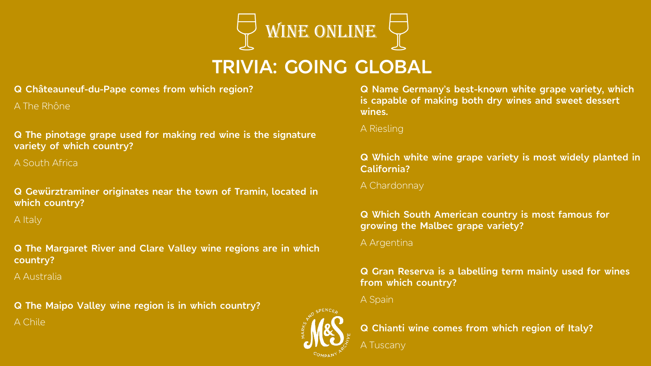

## **TRIVIA: GOING GLOBAL**

#### **Q Châteauneuf-du-Pape comes from which region?**

A The Rhône

#### **Q The pinotage grape used for making red wine is the signature variety of which country?**

A South Africa

**Q Gewürztraminer originates near the town of Tramin, located in which country?**

A Italy

**Q The Margaret River and Clare Valley wine regions are in which country?**

A Australia

**Q The Maipo Valley wine region is in which country?** A Chile

**Q Name Germany's best-known white grape variety, which is capable of making both dry wines and sweet dessert wines.**

A Riesling

### **Q Which white wine grape variety is most widely planted in California?**

A Chardonnay

#### **Q Which South American country is most famous for growing the Malbec grape variety?**

A Argentina

### **Q Gran Reserva is a labelling term mainly used for wines from which country?**

A Spain

A Tuscany



**Q Chianti wine comes from which region of Italy?**